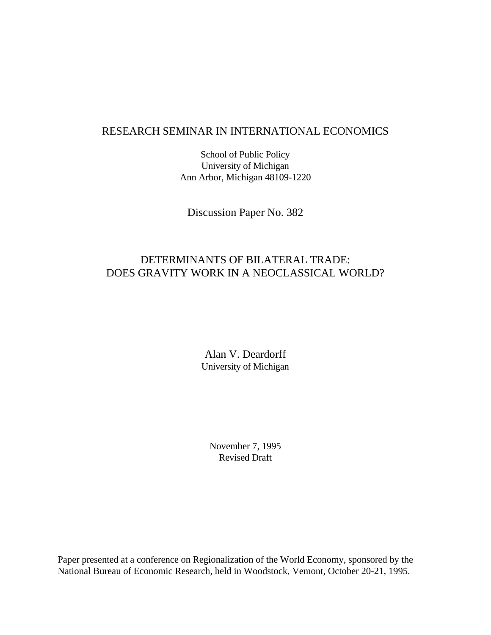# RESEARCH SEMINAR IN INTERNATIONAL ECONOMICS

School of Public Policy University of Michigan Ann Arbor, Michigan 48109-1220

Discussion Paper No. 382

# DETERMINANTS OF BILATERAL TRADE: DOES GRAVITY WORK IN A NEOCLASSICAL WORLD?

Alan V. Deardorff University of Michigan

November 7, 1995 Revised Draft

Paper presented at a conference on Regionalization of the World Economy, sponsored by the National Bureau of Economic Research, held in Woodstock, Vemont, October 20-21, 1995.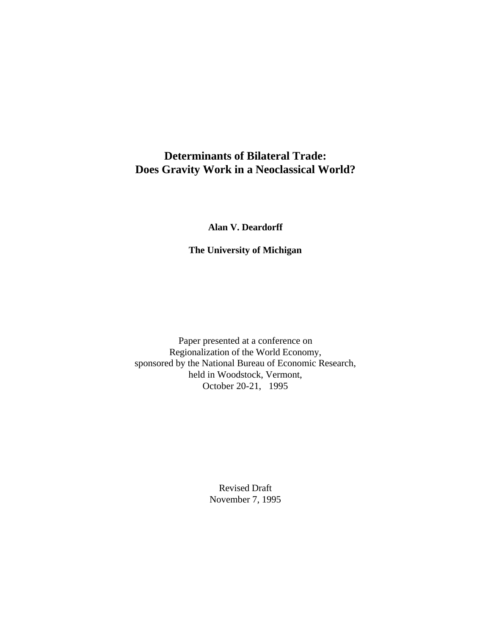# **Determinants of Bilateral Trade: Does Gravity Work in a Neoclassical World?**

**Alan V. Deardorff**

**The University of Michigan**

Paper presented at a conference on Regionalization of the World Economy, sponsored by the National Bureau of Economic Research, held in Woodstock, Vermont, October 20-21, 1995

> Revised Draft November 7, 1995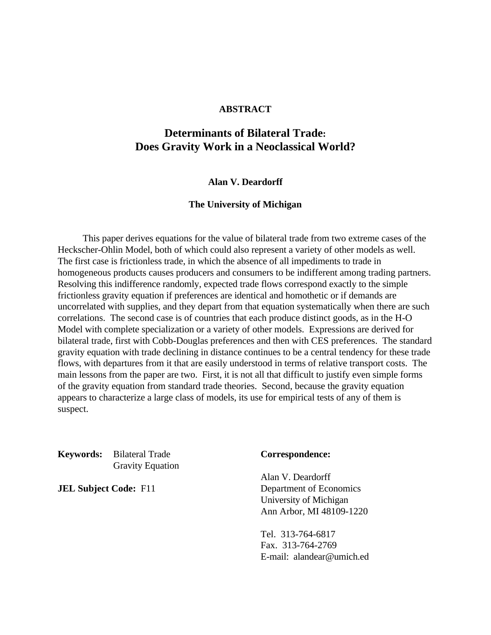#### **ABSTRACT**

# **Determinants of Bilateral Trade: Does Gravity Work in a Neoclassical World?**

#### **Alan V. Deardorff**

## **The University of Michigan**

This paper derives equations for the value of bilateral trade from two extreme cases of the Heckscher-Ohlin Model, both of which could also represent a variety of other models as well. The first case is frictionless trade, in which the absence of all impediments to trade in homogeneous products causes producers and consumers to be indifferent among trading partners. Resolving this indifference randomly, expected trade flows correspond exactly to the simple frictionless gravity equation if preferences are identical and homothetic or if demands are uncorrelated with supplies, and they depart from that equation systematically when there are such correlations. The second case is of countries that each produce distinct goods, as in the H-O Model with complete specialization or a variety of other models. Expressions are derived for bilateral trade, first with Cobb-Douglas preferences and then with CES preferences. The standard gravity equation with trade declining in distance continues to be a central tendency for these trade flows, with departures from it that are easily understood in terms of relative transport costs. The main lessons from the paper are two. First, it is not all that difficult to justify even simple forms of the gravity equation from standard trade theories. Second, because the gravity equation appears to characterize a large class of models, its use for empirical tests of any of them is suspect.

**Keywords:** Bilateral Trade **Correspondence:** Gravity Equation

Alan V. Deardorff **JEL Subject Code:** F11 Department of Economics University of Michigan Ann Arbor, MI 48109-1220

> Tel. 313-764-6817 Fax. 313-764-2769 E-mail: alandear@umich.ed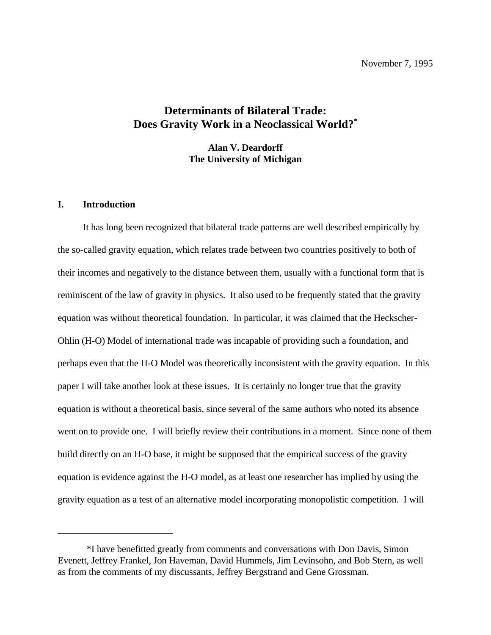# **Determinants of Bilateral Trade: Does Gravity Work in a Neoclassical World?\***

**Alan V. Deardorff The University of Michigan**

## **I. Introduction**

It has long been recognized that bilateral trade patterns are well described empirically by the so-called gravity equation, which relates trade between two countries positively to both of their incomes and negatively to the distance between them, usually with a functional form that is reminiscent of the law of gravity in physics. It also used to be frequently stated that the gravity equation was without theoretical foundation. In particular, it was claimed that the Heckscher-Ohlin (H-O) Model of international trade was incapable of providing such a foundation, and perhaps even that the H-O Model was theoretically inconsistent with the gravity equation. In this paper I will take another look at these issues. It is certainly no longer true that the gravity equation is without a theoretical basis, since several of the same authors who noted its absence went on to provide one. I will briefly review their contributions in a moment. Since none of them build directly on an H-O base, it might be supposed that the empirical success of the gravity equation is evidence against the H-O model, as at least one researcher has implied by using the gravity equation as a test of an alternative model incorporating monopolistic competition. I will

<sup>\*</sup>I have benefitted greatly from comments and conversations with Don Davis, Simon Evenett, Jeffrey Frankel, Jon Haveman, David Hummels, Jim Levinsohn, and Bob Stern, as well as from the comments of my discussants, Jeffrey Bergstrand and Gene Grossman.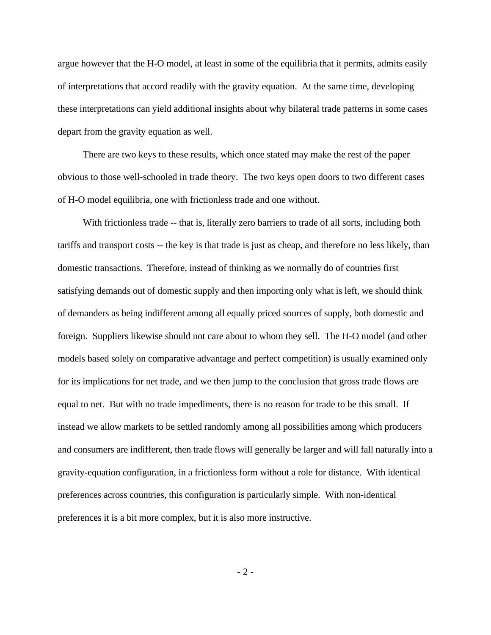argue however that the H-O model, at least in some of the equilibria that it permits, admits easily of interpretations that accord readily with the gravity equation. At the same time, developing these interpretations can yield additional insights about why bilateral trade patterns in some cases depart from the gravity equation as well.

There are two keys to these results, which once stated may make the rest of the paper obvious to those well-schooled in trade theory. The two keys open doors to two different cases of H-O model equilibria, one with frictionless trade and one without.

With frictionless trade -- that is, literally zero barriers to trade of all sorts, including both tariffs and transport costs -- the key is that trade is just as cheap, and therefore no less likely, than domestic transactions. Therefore, instead of thinking as we normally do of countries first satisfying demands out of domestic supply and then importing only what is left, we should think of demanders as being indifferent among all equally priced sources of supply, both domestic and foreign. Suppliers likewise should not care about to whom they sell. The H-O model (and other models based solely on comparative advantage and perfect competition) is usually examined only for its implications for net trade, and we then jump to the conclusion that gross trade flows are equal to net. But with no trade impediments, there is no reason for trade to be this small. If instead we allow markets to be settled randomly among all possibilities among which producers and consumers are indifferent, then trade flows will generally be larger and will fall naturally into a gravity-equation configuration, in a frictionless form without a role for distance. With identical preferences across countries, this configuration is particularly simple. With non-identical preferences it is a bit more complex, but it is also more instructive.

- 2 -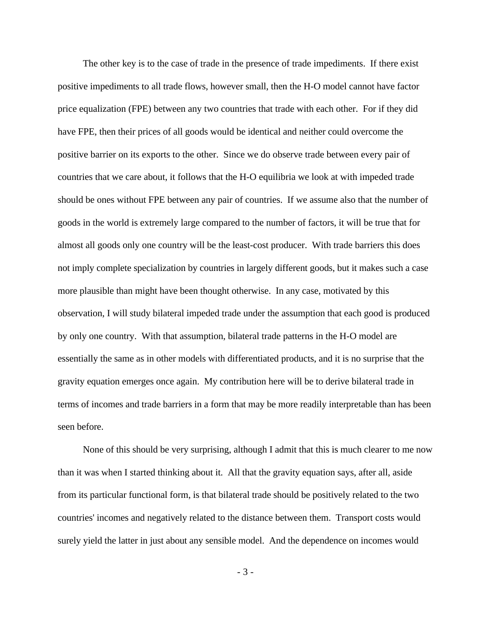The other key is to the case of trade in the presence of trade impediments. If there exist positive impediments to all trade flows, however small, then the H-O model cannot have factor price equalization (FPE) between any two countries that trade with each other. For if they did have FPE, then their prices of all goods would be identical and neither could overcome the positive barrier on its exports to the other. Since we do observe trade between every pair of countries that we care about, it follows that the H-O equilibria we look at with impeded trade should be ones without FPE between any pair of countries. If we assume also that the number of goods in the world is extremely large compared to the number of factors, it will be true that for almost all goods only one country will be the least-cost producer. With trade barriers this does not imply complete specialization by countries in largely different goods, but it makes such a case more plausible than might have been thought otherwise. In any case, motivated by this observation, I will study bilateral impeded trade under the assumption that each good is produced by only one country. With that assumption, bilateral trade patterns in the H-O model are essentially the same as in other models with differentiated products, and it is no surprise that the gravity equation emerges once again. My contribution here will be to derive bilateral trade in terms of incomes and trade barriers in a form that may be more readily interpretable than has been seen before.

None of this should be very surprising, although I admit that this is much clearer to me now than it was when I started thinking about it. All that the gravity equation says, after all, aside from its particular functional form, is that bilateral trade should be positively related to the two countries' incomes and negatively related to the distance between them. Transport costs would surely yield the latter in just about any sensible model. And the dependence on incomes would

- 3 -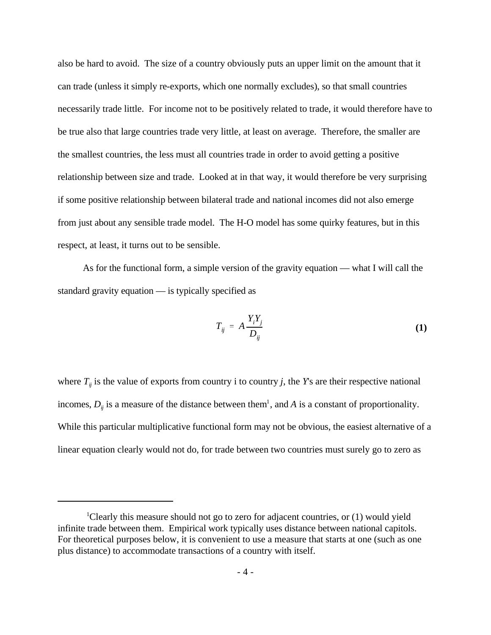also be hard to avoid. The size of a country obviously puts an upper limit on the amount that it can trade (unless it simply re-exports, which one normally excludes), so that small countries necessarily trade little. For income not to be positively related to trade, it would therefore have to be true also that large countries trade very little, at least on average. Therefore, the smaller are the smallest countries, the less must all countries trade in order to avoid getting a positive relationship between size and trade. Looked at in that way, it would therefore be very surprising if some positive relationship between bilateral trade and national incomes did not also emerge from just about any sensible trade model. The H-O model has some quirky features, but in this respect, at least, it turns out to be sensible.

As for the functional form, a simple version of the gravity equation — what I will call the standard gravity equation — is typically specified as

$$
T_{ij} = A \frac{Y_i Y_j}{D_{ij}} \tag{1}
$$

where  $T_{ii}$  is the value of exports from country *i* to country *j*, the *Y*'s are their respective national incomes,  $D_{ij}$  is a measure of the distance between them<sup>1</sup>, and *A* is a constant of proportionality. While this particular multiplicative functional form may not be obvious, the easiest alternative of a linear equation clearly would not do, for trade between two countries must surely go to zero as

<sup>&</sup>lt;sup>1</sup>Clearly this measure should not go to zero for adjacent countries, or  $(1)$  would yield infinite trade between them. Empirical work typically uses distance between national capitols. For theoretical purposes below, it is convenient to use a measure that starts at one (such as one plus distance) to accommodate transactions of a country with itself.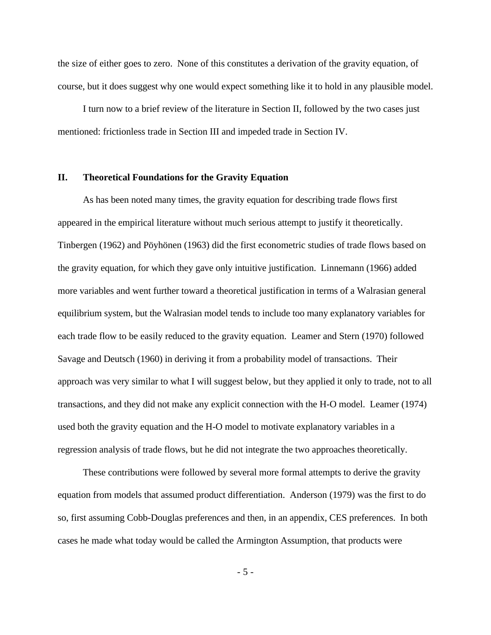the size of either goes to zero. None of this constitutes a derivation of the gravity equation, of course, but it does suggest why one would expect something like it to hold in any plausible model.

I turn now to a brief review of the literature in Section II, followed by the two cases just mentioned: frictionless trade in Section III and impeded trade in Section IV.

## **II. Theoretical Foundations for the Gravity Equation**

As has been noted many times, the gravity equation for describing trade flows first appeared in the empirical literature without much serious attempt to justify it theoretically. Tinbergen (1962) and Pöyhönen (1963) did the first econometric studies of trade flows based on the gravity equation, for which they gave only intuitive justification. Linnemann (1966) added more variables and went further toward a theoretical justification in terms of a Walrasian general equilibrium system, but the Walrasian model tends to include too many explanatory variables for each trade flow to be easily reduced to the gravity equation. Leamer and Stern (1970) followed Savage and Deutsch (1960) in deriving it from a probability model of transactions. Their approach was very similar to what I will suggest below, but they applied it only to trade, not to all transactions, and they did not make any explicit connection with the H-O model. Leamer (1974) used both the gravity equation and the H-O model to motivate explanatory variables in a regression analysis of trade flows, but he did not integrate the two approaches theoretically.

These contributions were followed by several more formal attempts to derive the gravity equation from models that assumed product differentiation. Anderson (1979) was the first to do so, first assuming Cobb-Douglas preferences and then, in an appendix, CES preferences. In both cases he made what today would be called the Armington Assumption, that products were

- 5 -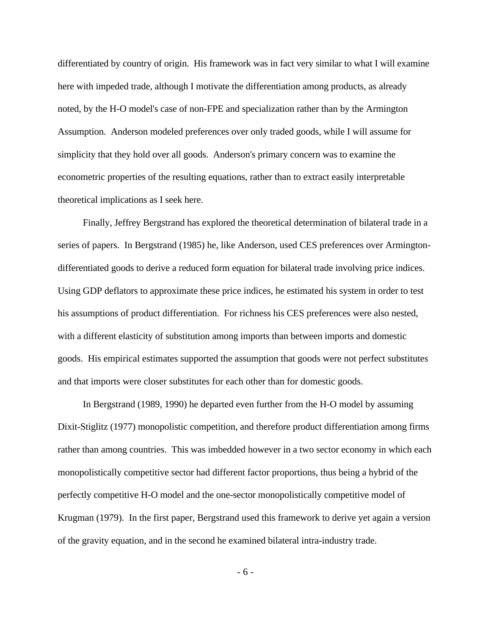differentiated by country of origin. His framework was in fact very similar to what I will examine here with impeded trade, although I motivate the differentiation among products, as already noted, by the H-O model's case of non-FPE and specialization rather than by the Armington Assumption. Anderson modeled preferences over only traded goods, while I will assume for simplicity that they hold over all goods. Anderson's primary concern was to examine the econometric properties of the resulting equations, rather than to extract easily interpretable theoretical implications as I seek here.

Finally, Jeffrey Bergstrand has explored the theoretical determination of bilateral trade in a series of papers. In Bergstrand (1985) he, like Anderson, used CES preferences over Armingtondifferentiated goods to derive a reduced form equation for bilateral trade involving price indices. Using GDP deflators to approximate these price indices, he estimated his system in order to test his assumptions of product differentiation. For richness his CES preferences were also nested, with a different elasticity of substitution among imports than between imports and domestic goods. His empirical estimates supported the assumption that goods were not perfect substitutes and that imports were closer substitutes for each other than for domestic goods.

In Bergstrand (1989, 1990) he departed even further from the H-O model by assuming Dixit-Stiglitz (1977) monopolistic competition, and therefore product differentiation among firms rather than among countries. This was imbedded however in a two sector economy in which each monopolistically competitive sector had different factor proportions, thus being a hybrid of the perfectly competitive H-O model and the one-sector monopolistically competitive model of Krugman (1979). In the first paper, Bergstrand used this framework to derive yet again a version of the gravity equation, and in the second he examined bilateral intra-industry trade.

- 6 -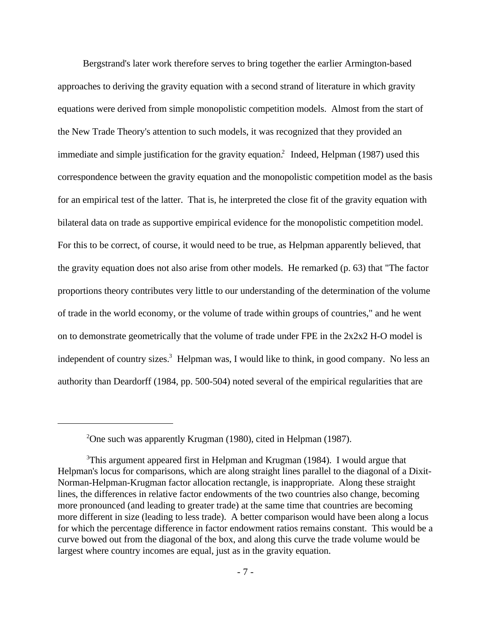Bergstrand's later work therefore serves to bring together the earlier Armington-based approaches to deriving the gravity equation with a second strand of literature in which gravity equations were derived from simple monopolistic competition models. Almost from the start of the New Trade Theory's attention to such models, it was recognized that they provided an immediate and simple justification for the gravity equation.<sup>2</sup> Indeed, Helpman (1987) used this correspondence between the gravity equation and the monopolistic competition model as the basis for an empirical test of the latter. That is, he interpreted the close fit of the gravity equation with bilateral data on trade as supportive empirical evidence for the monopolistic competition model. For this to be correct, of course, it would need to be true, as Helpman apparently believed, that the gravity equation does not also arise from other models. He remarked (p. 63) that "The factor proportions theory contributes very little to our understanding of the determination of the volume of trade in the world economy, or the volume of trade within groups of countries," and he went on to demonstrate geometrically that the volume of trade under FPE in the  $2x2x2$  H-O model is independent of country sizes.<sup>3</sup> Helpman was, I would like to think, in good company. No less an authority than Deardorff (1984, pp. 500-504) noted several of the empirical regularities that are

<sup>&</sup>lt;sup>2</sup>One such was apparently Krugman (1980), cited in Helpman (1987).

<sup>&</sup>lt;sup>3</sup>This argument appeared first in Helpman and Krugman (1984). I would argue that Helpman's locus for comparisons, which are along straight lines parallel to the diagonal of a Dixit-Norman-Helpman-Krugman factor allocation rectangle, is inappropriate. Along these straight lines, the differences in relative factor endowments of the two countries also change, becoming more pronounced (and leading to greater trade) at the same time that countries are becoming more different in size (leading to less trade). A better comparison would have been along a locus for which the percentage difference in factor endowment ratios remains constant. This would be a curve bowed out from the diagonal of the box, and along this curve the trade volume would be largest where country incomes are equal, just as in the gravity equation.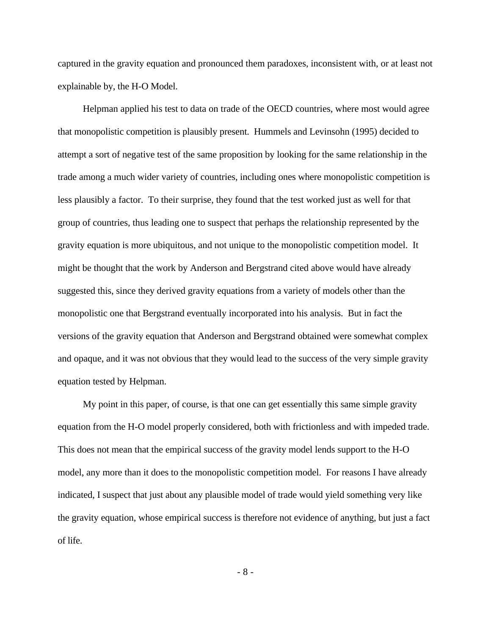captured in the gravity equation and pronounced them paradoxes, inconsistent with, or at least not explainable by, the H-O Model.

Helpman applied his test to data on trade of the OECD countries, where most would agree that monopolistic competition is plausibly present. Hummels and Levinsohn (1995) decided to attempt a sort of negative test of the same proposition by looking for the same relationship in the trade among a much wider variety of countries, including ones where monopolistic competition is less plausibly a factor. To their surprise, they found that the test worked just as well for that group of countries, thus leading one to suspect that perhaps the relationship represented by the gravity equation is more ubiquitous, and not unique to the monopolistic competition model. It might be thought that the work by Anderson and Bergstrand cited above would have already suggested this, since they derived gravity equations from a variety of models other than the monopolistic one that Bergstrand eventually incorporated into his analysis. But in fact the versions of the gravity equation that Anderson and Bergstrand obtained were somewhat complex and opaque, and it was not obvious that they would lead to the success of the very simple gravity equation tested by Helpman.

My point in this paper, of course, is that one can get essentially this same simple gravity equation from the H-O model properly considered, both with frictionless and with impeded trade. This does not mean that the empirical success of the gravity model lends support to the H-O model, any more than it does to the monopolistic competition model. For reasons I have already indicated, I suspect that just about any plausible model of trade would yield something very like the gravity equation, whose empirical success is therefore not evidence of anything, but just a fact of life.

- 8 -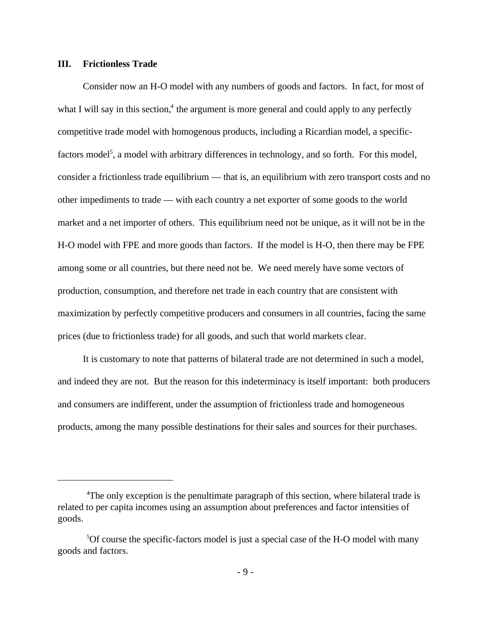## **III. Frictionless Trade**

Consider now an H-O model with any numbers of goods and factors. In fact, for most of what I will say in this section, $\alpha$  the argument is more general and could apply to any perfectly competitive trade model with homogenous products, including a Ricardian model, a specificfactors model<sup>5</sup>, a model with arbitrary differences in technology, and so forth. For this model, consider a frictionless trade equilibrium — that is, an equilibrium with zero transport costs and no other impediments to trade — with each country a net exporter of some goods to the world market and a net importer of others. This equilibrium need not be unique, as it will not be in the H-O model with FPE and more goods than factors. If the model is H-O, then there may be FPE among some or all countries, but there need not be. We need merely have some vectors of production, consumption, and therefore net trade in each country that are consistent with maximization by perfectly competitive producers and consumers in all countries, facing the same prices (due to frictionless trade) for all goods, and such that world markets clear.

It is customary to note that patterns of bilateral trade are not determined in such a model, and indeed they are not. But the reason for this indeterminacy is itself important: both producers and consumers are indifferent, under the assumption of frictionless trade and homogeneous products, among the many possible destinations for their sales and sources for their purchases.

<sup>&</sup>lt;sup>4</sup>The only exception is the penultimate paragraph of this section, where bilateral trade is related to per capita incomes using an assumption about preferences and factor intensities of goods.

 ${}^{5}$ Of course the specific-factors model is just a special case of the H-O model with many goods and factors.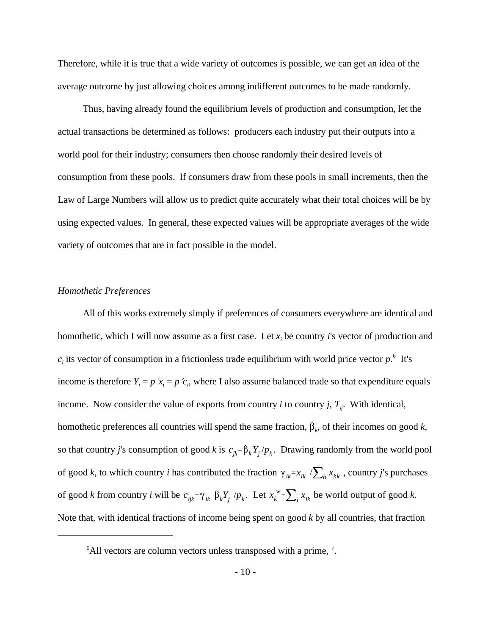Therefore, while it is true that a wide variety of outcomes is possible, we can get an idea of the average outcome by just allowing choices among indifferent outcomes to be made randomly.

Thus, having already found the equilibrium levels of production and consumption, let the actual transactions be determined as follows: producers each industry put their outputs into a world pool for their industry; consumers then choose randomly their desired levels of consumption from these pools. If consumers draw from these pools in small increments, then the Law of Large Numbers will allow us to predict quite accurately what their total choices will be by using expected values. In general, these expected values will be appropriate averages of the wide variety of outcomes that are in fact possible in the model.

## *Homothetic Preferences*

so that country *j*'s consumption of good *k* is  $c_{jk} = \beta_k Y_j / p_k$ . Drawing randomly from the world pool of good *k*, to which country *i* has contributed the fraction  $\gamma_{ik} = x_{ik} / \sum_{h} x_{hk}$ , country *j*'s purchases of good *k* from country *i* will be  $c_{ijk} = \gamma_{ik} \beta_k Y_j / p_k$ . Let  $x_k^{\nu} = \sum_i x_{ik}$  be world output of good *k*. All of this works extremely simply if preferences of consumers everywhere are identical and homothetic, which I will now assume as a first case. Let  $x_i$  be country *i*'s vector of production and  $c_i$  its vector of consumption in a frictionless trade equilibrium with world price vector  $p^6$ . It's income is therefore  $Y_i = p'x_i = p'c_i$ , where I also assume balanced trade so that expenditure equals income. Now consider the value of exports from country *i* to country *j*,  $T_{ij}$ . With identical, homothetic preferences all countries will spend the same fraction,  $\beta_k$ , of their incomes on good *k*, Note that, with identical fractions of income being spent on good *k* by all countries, that fraction

 $6$ All vectors are column vectors unless transposed with a prime,  $\dot{\phantom{a}}$ .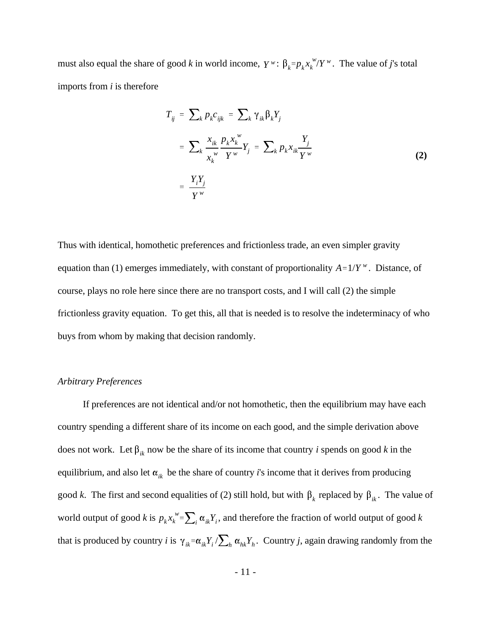*must also equal the share of good <i>k* in world income,  $Y^w$ :  $\beta_k = p_k x_k^{w} / Y^w$ . The value of *j*'s total imports from *i* is therefore

$$
T_{ij} = \sum_{k} p_{k} c_{ijk} = \sum_{k} \gamma_{ik} \beta_{k} Y_{j}
$$
  

$$
= \sum_{k} \frac{x_{ik}}{x_{k}^{w}} \frac{p_{k} x_{k}^{w}}{Y^{w}} Y_{j} = \sum_{k} p_{k} x_{ik} \frac{Y_{j}}{Y^{w}}
$$
  

$$
= \frac{Y_{i} Y_{j}}{Y^{w}}
$$
 (2)

equation than (1) emerges immediately, with constant of proportionality  $A = 1/Y^w$ . Distance, of Thus with identical, homothetic preferences and frictionless trade, an even simpler gravity course, plays no role here since there are no transport costs, and I will call (2) the simple frictionless gravity equation. To get this, all that is needed is to resolve the indeterminacy of who buys from whom by making that decision randomly.

## *Arbitrary Preferences*

does not work. Let  $\beta_{ik}$  now be the share of its income that country *i* spends on good *k* in the equilibrium, and also let  $\alpha_{ik}$  be the share of country *i*'s income that it derives from producing good *k*. The first and second equalities of (2) still hold, but with  $\beta_k$  replaced by  $\beta_{ik}$ . The value of *world output of good <i>k* is  $p_k x_k^{\{w\}} = \sum_i \alpha_{ik} Y_i$ , and therefore the fraction of world output of good *k* that is produced by country *i* is  $\gamma_{ik} = \alpha_{ik} Y_i / \sum_h \alpha_{hk} Y_h$ . Country *j*, again drawing randomly from the If preferences are not identical and/or not homothetic, then the equilibrium may have each country spending a different share of its income on each good, and the simple derivation above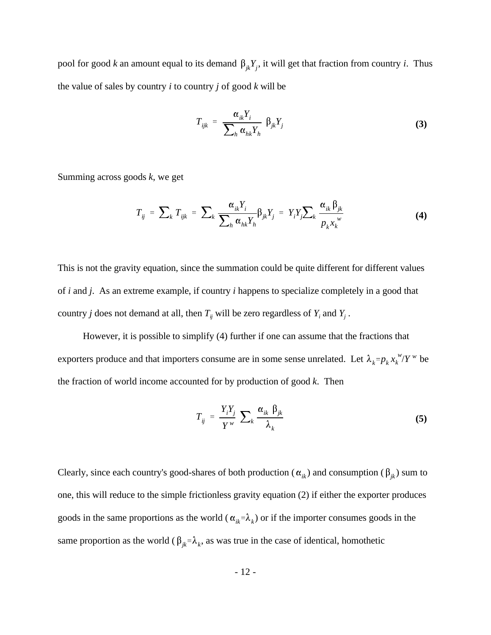pool for good *k* an amount equal to its demand  $\beta_{jk}Y_j$ , it will get that fraction from country *i*. Thus the value of sales by country *i* to country *j* of good *k* will be

$$
T_{ijk} = \frac{\alpha_{ik} Y_i}{\sum_h \alpha_{hk} Y_h} \beta_{jk} Y_j
$$
 (3)

Summing across goods *k*, we get

$$
T_{ij} = \sum_{k} T_{ijk} = \sum_{k} \frac{\alpha_{ik} Y_i}{\sum_{h} \alpha_{hk} Y_h} \beta_{jk} Y_j = Y_i Y_j \sum_{k} \frac{\alpha_{ik} \beta_{jk}}{P_k x_k^w}
$$
(4)

This is not the gravity equation, since the summation could be quite different for different values of *i* and *j*. As an extreme example, if country *i* happens to specialize completely in a good that country *j* does not demand at all, then  $T_{ij}$  will be zero regardless of  $Y_i$  and  $Y_j$ .

exporters produce and that importers consume are in some sense unrelated. Let  $\lambda_k = p_k x_k^{\nu} / Y^{\nu}$  be However, it is possible to simplify (4) further if one can assume that the fractions that the fraction of world income accounted for by production of good *k*. Then

$$
T_{ij} = \frac{Y_i Y_j}{Y^w} \sum_k \frac{\alpha_{ik} \beta_{jk}}{\lambda_k}
$$
 (5)

Clearly, since each country's good-shares of both production ( $\alpha_{ik}$ ) and consumption ( $\beta_{jk}$ ) sum to goods in the same proportions as the world ( $\alpha_{ik} = \lambda_k$ ) or if the importer consumes goods in the same proportion as the world ( $\beta_{jk} = \lambda_k$ , as was true in the case of identical, homothetic one, this will reduce to the simple frictionless gravity equation (2) if either the exporter produces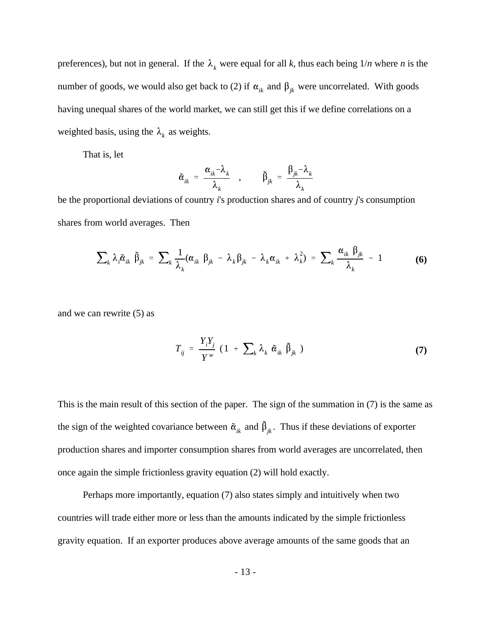preferences), but not in general. If the  $\lambda_k$  were equal for all *k*, thus each being  $1/n$  where *n* is the number of goods, we would also get back to (2) if  $\alpha_{ik}$  and  $\beta_{jk}$  were uncorrelated. With goods weighted basis, using the  $\lambda_k$  as weights. having unequal shares of the world market, we can still get this if we define correlations on a

That is, let

$$
\tilde{\alpha}_{ik} = \frac{\alpha_{ik} - \lambda_k}{\lambda_k} , \qquad \tilde{\beta}_{jk} = \frac{\beta_{jk} - \lambda_k}{\lambda_k}
$$

be the proportional deviations of country *i*'s production shares and of country *j*'s consumption shares from world averages. Then

$$
\sum_{k} \lambda_{i} \tilde{\alpha}_{ik} \; \tilde{\beta}_{jk} = \sum_{k} \frac{1}{\lambda_{k}} (\alpha_{ik} \; \beta_{jk} - \lambda_{k} \beta_{jk} - \lambda_{k} \alpha_{ik} + \lambda_{k}^{2}) = \sum_{k} \frac{\alpha_{ik} \; \beta_{jk}}{\lambda_{k}} - 1 \qquad (6)
$$

and we can rewrite (5) as

$$
T_{ij} = \frac{Y_i Y_j}{Y^w} (1 + \sum_k \lambda_k \tilde{\alpha}_{ik} \tilde{\beta}_{jk})
$$
 (7)

the sign of the weighted covariance between  $\tilde{\alpha}_{ik}$  and  $\tilde{\beta}_{jk}$ . Thus if these deviations of exporter This is the main result of this section of the paper. The sign of the summation in (7) is the same as production shares and importer consumption shares from world averages are uncorrelated, then once again the simple frictionless gravity equation (2) will hold exactly.

Perhaps more importantly, equation (7) also states simply and intuitively when two countries will trade either more or less than the amounts indicated by the simple frictionless gravity equation. If an exporter produces above average amounts of the same goods that an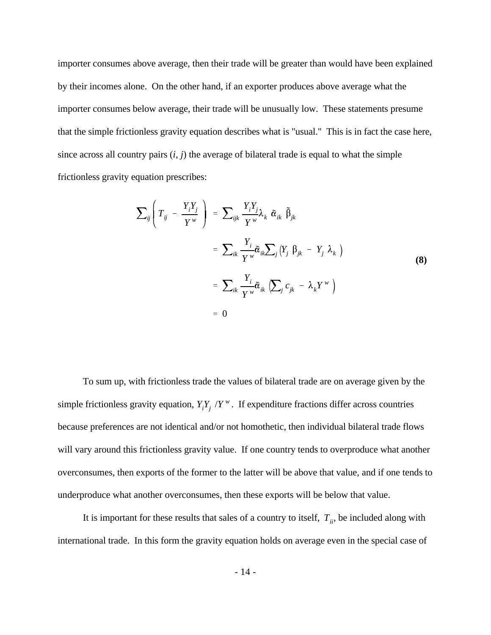importer consumes above average, then their trade will be greater than would have been explained by their incomes alone. On the other hand, if an exporter produces above average what the importer consumes below average, their trade will be unusually low. These statements presume that the simple frictionless gravity equation describes what is "usual." This is in fact the case here, since across all country pairs  $(i, j)$  the average of bilateral trade is equal to what the simple frictionless gravity equation prescribes:

$$
\sum_{ij} \left( T_{ij} - \frac{Y_i Y_j}{Y^w} \right) = \sum_{ijk} \frac{Y_i Y_j}{Y^w} \lambda_k \ \tilde{\alpha}_{ik} \ \tilde{\beta}_{jk}
$$
\n
$$
= \sum_{ik} \frac{Y_i}{Y^w} \tilde{\alpha}_{ik} \sum_j (Y_j \ \beta_{jk} - Y_j \ \lambda_k)
$$
\n
$$
= \sum_{ik} \frac{Y_i}{Y^w} \tilde{\alpha}_{ik} \left( \sum_j c_{jk} - \lambda_k Y^w \right)
$$
\n
$$
= 0
$$
\n(8)

simple frictionless gravity equation,  $Y_i Y_j / Y^w$ . If expenditure fractions differ across countries To sum up, with frictionless trade the values of bilateral trade are on average given by the because preferences are not identical and/or not homothetic, then individual bilateral trade flows will vary around this frictionless gravity value. If one country tends to overproduce what another overconsumes, then exports of the former to the latter will be above that value, and if one tends to underproduce what another overconsumes, then these exports will be below that value.

It is important for these results that sales of a country to itself,  $T_{ii}$ , be included along with international trade. In this form the gravity equation holds on average even in the special case of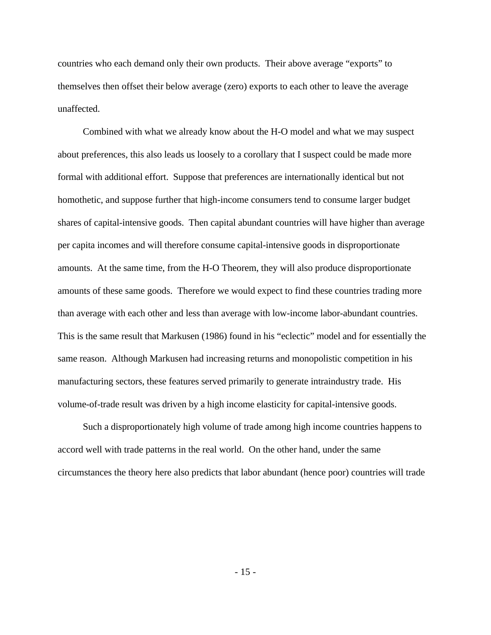countries who each demand only their own products. Their above average "exports" to themselves then offset their below average (zero) exports to each other to leave the average unaffected.

Combined with what we already know about the H-O model and what we may suspect about preferences, this also leads us loosely to a corollary that I suspect could be made more formal with additional effort. Suppose that preferences are internationally identical but not homothetic, and suppose further that high-income consumers tend to consume larger budget shares of capital-intensive goods. Then capital abundant countries will have higher than average per capita incomes and will therefore consume capital-intensive goods in disproportionate amounts. At the same time, from the H-O Theorem, they will also produce disproportionate amounts of these same goods. Therefore we would expect to find these countries trading more than average with each other and less than average with low-income labor-abundant countries. This is the same result that Markusen (1986) found in his "eclectic" model and for essentially the same reason. Although Markusen had increasing returns and monopolistic competition in his manufacturing sectors, these features served primarily to generate intraindustry trade. His volume-of-trade result was driven by a high income elasticity for capital-intensive goods.

Such a disproportionately high volume of trade among high income countries happens to accord well with trade patterns in the real world. On the other hand, under the same circumstances the theory here also predicts that labor abundant (hence poor) countries will trade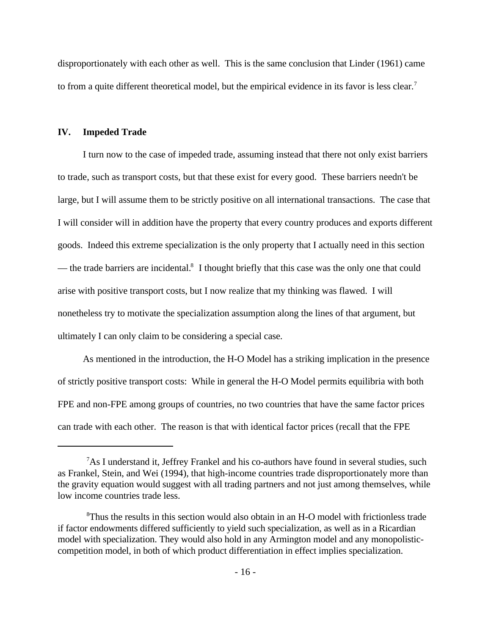disproportionately with each other as well. This is the same conclusion that Linder (1961) came to from a quite different theoretical model, but the empirical evidence in its favor is less clear.<sup>7</sup>

# **IV. Impeded Trade**

I turn now to the case of impeded trade, assuming instead that there not only exist barriers to trade, such as transport costs, but that these exist for every good. These barriers needn't be large, but I will assume them to be strictly positive on all international transactions. The case that I will consider will in addition have the property that every country produces and exports different goods. Indeed this extreme specialization is the only property that I actually need in this section — the trade barriers are incidental.<sup>8</sup> I thought briefly that this case was the only one that could arise with positive transport costs, but I now realize that my thinking was flawed. I will nonetheless try to motivate the specialization assumption along the lines of that argument, but ultimately I can only claim to be considering a special case.

As mentioned in the introduction, the H-O Model has a striking implication in the presence of strictly positive transport costs: While in general the H-O Model permits equilibria with both FPE and non-FPE among groups of countries, no two countries that have the same factor prices can trade with each other. The reason is that with identical factor prices (recall that the FPE

 $A^7$ As I understand it, Jeffrey Frankel and his co-authors have found in several studies, such as Frankel, Stein, and Wei (1994), that high-income countries trade disproportionately more than the gravity equation would suggest with all trading partners and not just among themselves, while low income countries trade less.

 ${}^8$ Thus the results in this section would also obtain in an H-O model with frictionless trade if factor endowments differed sufficiently to yield such specialization, as well as in a Ricardian model with specialization. They would also hold in any Armington model and any monopolisticcompetition model, in both of which product differentiation in effect implies specialization.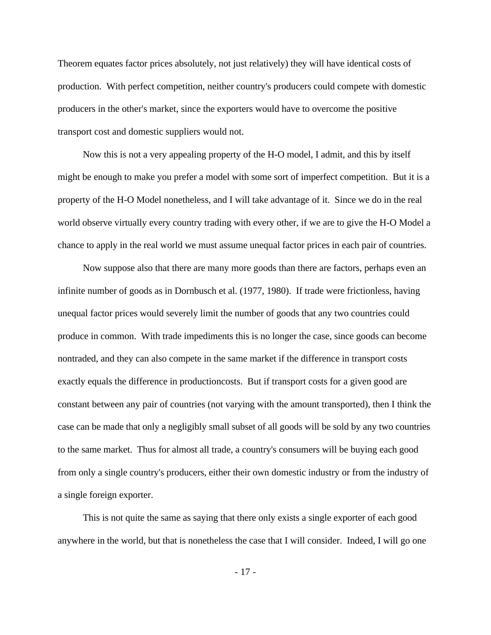Theorem equates factor prices absolutely, not just relatively) they will have identical costs of production. With perfect competition, neither country's producers could compete with domestic producers in the other's market, since the exporters would have to overcome the positive transport cost and domestic suppliers would not.

Now this is not a very appealing property of the H-O model, I admit, and this by itself might be enough to make you prefer a model with some sort of imperfect competition. But it is a property of the H-O Model nonetheless, and I will take advantage of it. Since we do in the real world observe virtually every country trading with every other, if we are to give the H-O Model a chance to apply in the real world we must assume unequal factor prices in each pair of countries.

Now suppose also that there are many more goods than there are factors, perhaps even an infinite number of goods as in Dornbusch et al. (1977, 1980). If trade were frictionless, having unequal factor prices would severely limit the number of goods that any two countries could produce in common. With trade impediments this is no longer the case, since goods can become nontraded, and they can also compete in the same market if the difference in transport costs exactly equals the difference in productioncosts. But if transport costs for a given good are constant between any pair of countries (not varying with the amount transported), then I think the case can be made that only a negligibly small subset of all goods will be sold by any two countries to the same market. Thus for almost all trade, a country's consumers will be buying each good from only a single country's producers, either their own domestic industry or from the industry of a single foreign exporter.

This is not quite the same as saying that there only exists a single exporter of each good anywhere in the world, but that is nonetheless the case that I will consider. Indeed, I will go one

- 17 -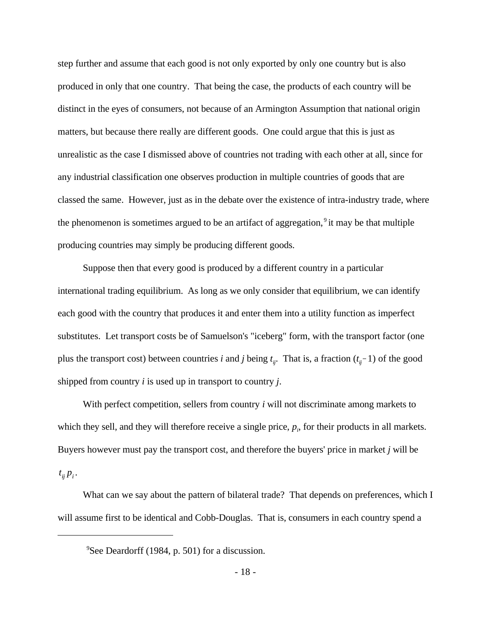step further and assume that each good is not only exported by only one country but is also produced in only that one country. That being the case, the products of each country will be distinct in the eyes of consumers, not because of an Armington Assumption that national origin matters, but because there really are different goods. One could argue that this is just as unrealistic as the case I dismissed above of countries not trading with each other at all, since for any industrial classification one observes production in multiple countries of goods that are classed the same. However, just as in the debate over the existence of intra-industry trade, where the phenomenon is sometimes argued to be an artifact of aggregation,  $\theta$  it may be that multiple producing countries may simply be producing different goods.

Suppose then that every good is produced by a different country in a particular international trading equilibrium. As long as we only consider that equilibrium, we can identify each good with the country that produces it and enter them into a utility function as imperfect substitutes. Let transport costs be of Samuelson's "iceberg" form, with the transport factor (one plus the transport cost) between countries *i* and *j* being  $t_{ii}$ . That is, a fraction ( $t_{ii}$ -1) of the good shipped from country *i* is used up in transport to country *j*.

 $t_{ij} p_i$ . With perfect competition, sellers from country *i* will not discriminate among markets to which they sell, and they will therefore receive a single price,  $p_i$ , for their products in all markets. Buyers however must pay the transport cost, and therefore the buyers' price in market *j* will be

What can we say about the pattern of bilateral trade? That depends on preferences, which I will assume first to be identical and Cobb-Douglas. That is, consumers in each country spend a

 ${}^{9}$ See Deardorff (1984, p. 501) for a discussion.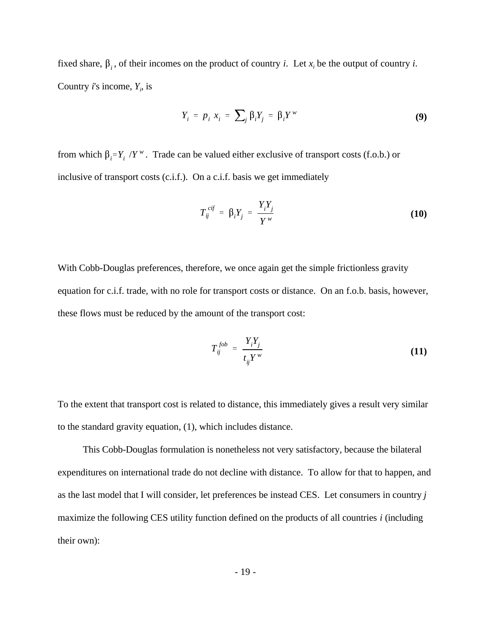fixed share,  $\beta$ <sub>i</sub>, of their incomes on the product of country *i*. Let  $x$ <sub>i</sub> be the output of country *i*. Country *i*'s income,  $Y_i$ , is

$$
Y_i = p_i x_i = \sum_j \beta_i Y_j = \beta_i Y^w \tag{9}
$$

from which  $\beta_i = Y_i / Y^w$ . Trade can be valued either exclusive of transport costs (f.o.b.) or inclusive of transport costs (c.i.f.). On a c.i.f. basis we get immediately

$$
T_{ij}^{cif} = \beta_i Y_j = \frac{Y_i Y_j}{Y^w}
$$
 (10)

With Cobb-Douglas preferences, therefore, we once again get the simple frictionless gravity equation for c.i.f. trade, with no role for transport costs or distance. On an f.o.b. basis, however, these flows must be reduced by the amount of the transport cost:

$$
T_{ij}^{fob} = \frac{Y_i Y_j}{t_{ij} Y^w}
$$
 (11)

To the extent that transport cost is related to distance, this immediately gives a result very similar to the standard gravity equation, (1), which includes distance.

This Cobb-Douglas formulation is nonetheless not very satisfactory, because the bilateral expenditures on international trade do not decline with distance. To allow for that to happen, and as the last model that I will consider, let preferences be instead CES. Let consumers in country *j* maximize the following CES utility function defined on the products of all countries *i* (including their own):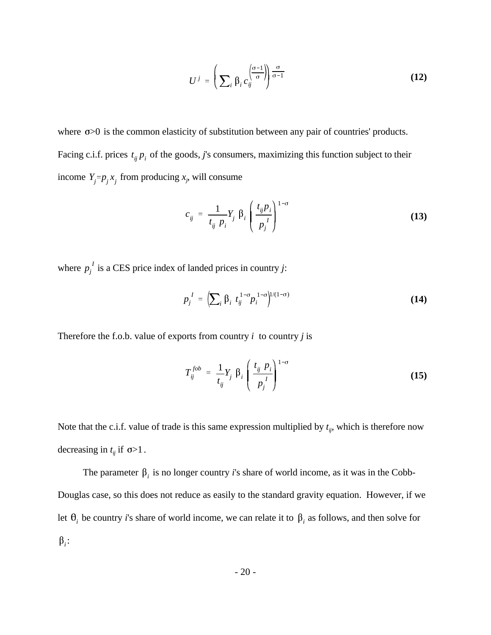$$
U^{j} = \left(\sum_{i} \beta_{i} c_{ij}^{\left(\frac{\sigma-1}{\sigma}\right)}\right)^{\frac{\sigma}{\sigma-1}}
$$
 (12)

mi:<br>1-0 where  $\sigma$  >0 is the common elasticity of substitution between any pair of countries' products. Facing c.i.f. prices  $t_{ij}p_i$  of the goods, *j*'s consumers, maximizing this function subject to their income  $Y_j = p_j x_j$  from producing  $x_j$ , will consume

$$
c_{ij} = \frac{1}{t_{ij} p_i} Y_j \beta_i \left( \frac{t_{ij} p_i}{p_j^I} \right)^{1-\sigma}
$$
 (13)

 $\sin \theta$ <br> $1-\sigma$  $1 - \sigma$ )<br>try *j*:<br><sup>1/(1 -σ)</sup> *p I* where  $p_j^{\perp}$  is a CES price index of landed prices in country *j*:

$$
p_j^I = \left(\sum_i \beta_i t_{ij}^{1-\sigma} p_i^{1-\sigma}\right)^{1/(1-\sigma)}
$$
\norts from country *i* to country *j* is

\n
$$
\left(\frac{1}{2} + p_i\right)^{1-\sigma}
$$

Therefore the f.o.b. value of exports from country *i* to country *j* is

$$
T_{ij}^{fob} = \frac{1}{t_{ij}} Y_j \beta_i \left( \frac{t_{ij} p_i}{p_j^I} \right)^{1-\sigma}
$$
 (15)

decreasing in  $t_{ij}$  if  $\sigma > 1$ . Note that the c.i.f. value of trade is this same expression multiplied by  $t_{ij}$ , which is therefore now

The parameter  $\beta$ <sub>i</sub> is no longer country *i*'s share of world income, as it was in the Cobblet  $\theta_i$  be country *i*'s share of world income, we can relate it to  $\beta_i$  as follows, and then solve for  $\beta_i$ : Douglas case, so this does not reduce as easily to the standard gravity equation. However, if we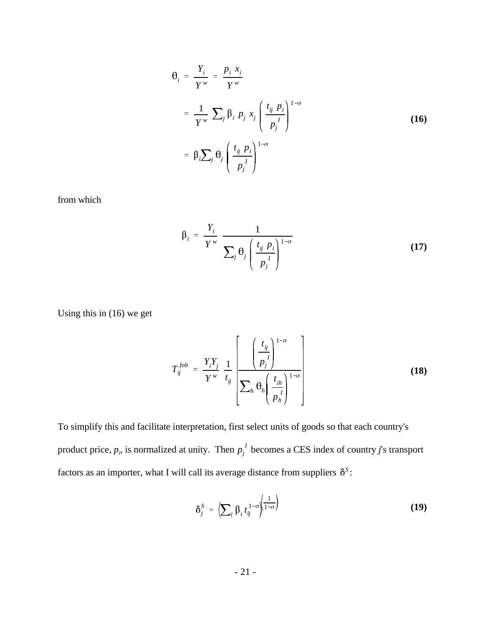$$
\theta_{i} = \frac{Y_{i}}{Y^{w}} = \frac{p_{i} x_{i}}{Y^{w}}
$$
\n
$$
= \frac{1}{Y^{w}} \sum_{j} \beta_{i} p_{j} x_{j} \left(\frac{t_{ij} p_{i}}{p_{j}^{I}}\right)^{1-\sigma}
$$
\n
$$
= \beta_{i} \sum_{j} \theta_{j} \left(\frac{t_{ij} p_{i}}{p_{j}^{I}}\right)^{1-\sigma}
$$
\n(16)

from which

$$
\beta_i = \frac{Y_i}{Y^w} \frac{1}{\sum_j \theta_j \left(\frac{t_{ij} p_i}{p_j^I}\right)^{1-\sigma}}
$$
\n(17)

Using this in (16) we get

$$
T_{ij}^{fob} = \frac{Y_i Y_j}{Y^w} \frac{1}{t_{ij}} \left[ \frac{\left(\frac{t_{ij}}{p_j^I}\right)^{1-\sigma}}{\sum_h \theta_h \left(\frac{t_{ih}}{p_h^I}\right)^{1-\sigma}} \right]
$$
(18)

be<br>dis<br>1-0 om<br>  $\frac{1}{1-\sigma}$ *p I* product price,  $p_i$ , is normalized at unity. Then  $p_j^{\perp}$  becomes a CES index of country *j*'s transport factors as an importer, what I will call its average distance from suppliers  $\delta^s$ : To simplify this and facilitate interpretation, first select units of goods so that each country's

$$
\delta_j^S = \left(\sum_i \beta_i t_{ij}^{1-\sigma}\right)^{\left(\frac{1}{1-\sigma}\right)}
$$
 (19)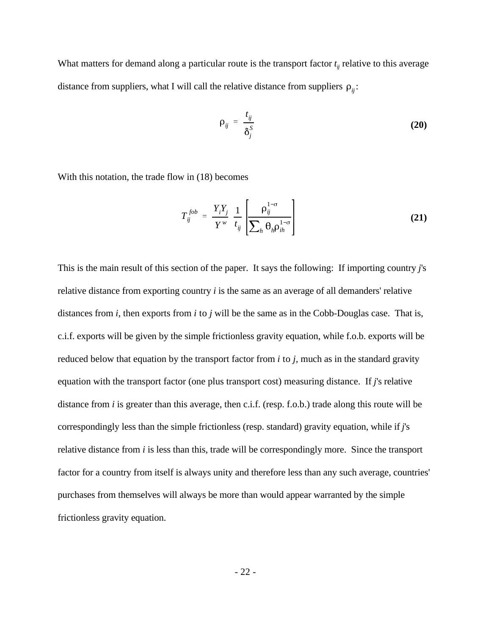distance from suppliers, what I will call the relative distance from suppliers  $\rho_{ij}$ : What matters for demand along a particular route is the transport factor  $t_{ij}$  relative to this average

$$
\rho_{ij} = \frac{t_{ij}}{\delta_j^S} \tag{20}
$$

With this notation, the trade flow in (18) becomes

$$
V \text{ in (18) becomes}
$$
\n
$$
T_{ij}^{fob} = \frac{Y_i Y_j}{Y^w} \frac{1}{t_{ij}} \left[ \frac{\rho_{ij}^{1-\sigma}}{\sum_h \theta_h \rho_{ih}^{1-\sigma}} \right]
$$
\n(21)

This is the main result of this section of the paper. It says the following: If importing country *j*'s relative distance from exporting country *i* is the same as an average of all demanders' relative distances from *i*, then exports from *i* to *j* will be the same as in the Cobb-Douglas case. That is, c.i.f. exports will be given by the simple frictionless gravity equation, while f.o.b. exports will be reduced below that equation by the transport factor from *i* to *j,* much as in the standard gravity equation with the transport factor (one plus transport cost) measuring distance. If *j*'s relative distance from *i* is greater than this average, then c.i.f. (resp. f.o.b.) trade along this route will be correspondingly less than the simple frictionless (resp. standard) gravity equation, while if *j*'s relative distance from *i* is less than this, trade will be correspondingly more. Since the transport factor for a country from itself is always unity and therefore less than any such average, countries' purchases from themselves will always be more than would appear warranted by the simple frictionless gravity equation.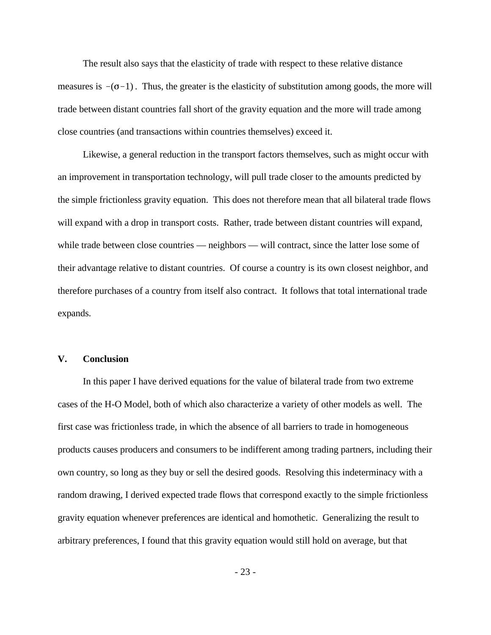measures is  $-(\sigma-1)$ . Thus, the greater is the elasticity of substitution among goods, the more will The result also says that the elasticity of trade with respect to these relative distance trade between distant countries fall short of the gravity equation and the more will trade among close countries (and transactions within countries themselves) exceed it.

Likewise, a general reduction in the transport factors themselves, such as might occur with an improvement in transportation technology, will pull trade closer to the amounts predicted by the simple frictionless gravity equation. This does not therefore mean that all bilateral trade flows will expand with a drop in transport costs. Rather, trade between distant countries will expand, while trade between close countries — neighbors — will contract, since the latter lose some of their advantage relative to distant countries. Of course a country is its own closest neighbor, and therefore purchases of a country from itself also contract. It follows that total international trade expands.

# **V. Conclusion**

In this paper I have derived equations for the value of bilateral trade from two extreme cases of the H-O Model, both of which also characterize a variety of other models as well. The first case was frictionless trade, in which the absence of all barriers to trade in homogeneous products causes producers and consumers to be indifferent among trading partners, including their own country, so long as they buy or sell the desired goods. Resolving this indeterminacy with a random drawing, I derived expected trade flows that correspond exactly to the simple frictionless gravity equation whenever preferences are identical and homothetic. Generalizing the result to arbitrary preferences, I found that this gravity equation would still hold on average, but that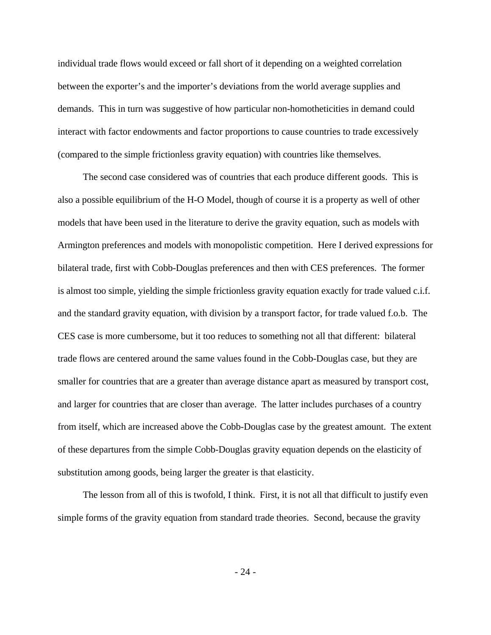individual trade flows would exceed or fall short of it depending on a weighted correlation between the exporter's and the importer's deviations from the world average supplies and demands. This in turn was suggestive of how particular non-homotheticities in demand could interact with factor endowments and factor proportions to cause countries to trade excessively (compared to the simple frictionless gravity equation) with countries like themselves.

The second case considered was of countries that each produce different goods. This is also a possible equilibrium of the H-O Model, though of course it is a property as well of other models that have been used in the literature to derive the gravity equation, such as models with Armington preferences and models with monopolistic competition. Here I derived expressions for bilateral trade, first with Cobb-Douglas preferences and then with CES preferences. The former is almost too simple, yielding the simple frictionless gravity equation exactly for trade valued c.i.f. and the standard gravity equation, with division by a transport factor, for trade valued f.o.b. The CES case is more cumbersome, but it too reduces to something not all that different: bilateral trade flows are centered around the same values found in the Cobb-Douglas case, but they are smaller for countries that are a greater than average distance apart as measured by transport cost, and larger for countries that are closer than average. The latter includes purchases of a country from itself, which are increased above the Cobb-Douglas case by the greatest amount. The extent of these departures from the simple Cobb-Douglas gravity equation depends on the elasticity of substitution among goods, being larger the greater is that elasticity.

The lesson from all of this is twofold, I think. First, it is not all that difficult to justify even simple forms of the gravity equation from standard trade theories. Second, because the gravity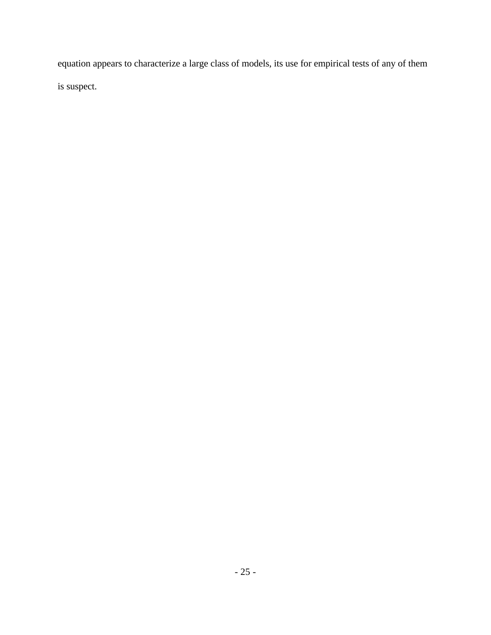equation appears to characterize a large class of models, its use for empirical tests of any of them is suspect.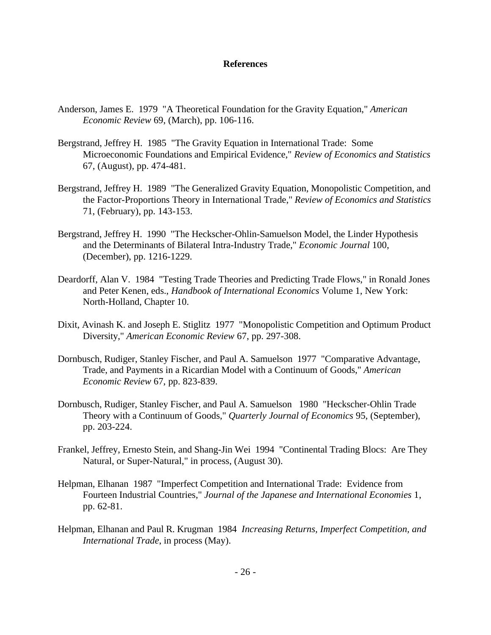## **References**

- Anderson, James E. 1979 "A Theoretical Foundation for the Gravity Equation," *American Economic Review* 69, (March), pp. 106-116.
- Bergstrand, Jeffrey H. 1985 "The Gravity Equation in International Trade: Some Microeconomic Foundations and Empirical Evidence," *Review of Economics and Statistics* 67, (August), pp. 474-481.
- Bergstrand, Jeffrey H. 1989 "The Generalized Gravity Equation, Monopolistic Competition, and the Factor-Proportions Theory in International Trade," *Review of Economics and Statistics* 71, (February), pp. 143-153.
- Bergstrand, Jeffrey H. 1990 "The Heckscher-Ohlin-Samuelson Model, the Linder Hypothesis and the Determinants of Bilateral Intra-Industry Trade," *Economic Journal* 100, (December), pp. 1216-1229.
- Deardorff, Alan V. 1984 "Testing Trade Theories and Predicting Trade Flows," in Ronald Jones and Peter Kenen, eds., *Handbook of International Economics* Volume 1, New York: North-Holland, Chapter 10.
- Dixit, Avinash K. and Joseph E. Stiglitz 1977 "Monopolistic Competition and Optimum Product Diversity," *American Economic Review* 67, pp. 297-308.
- Dornbusch, Rudiger, Stanley Fischer, and Paul A. Samuelson 1977 "Comparative Advantage, Trade, and Payments in a Ricardian Model with a Continuum of Goods," *American Economic Review* 67, pp. 823-839.
- Dornbusch, Rudiger, Stanley Fischer, and Paul A. Samuelson 1980 "Heckscher-Ohlin Trade Theory with a Continuum of Goods," *Quarterly Journal of Economics* 95, (September), pp. 203-224.
- Frankel, Jeffrey, Ernesto Stein, and Shang-Jin Wei 1994 "Continental Trading Blocs: Are They Natural, or Super-Natural," in process, (August 30).
- Helpman, Elhanan 1987 "Imperfect Competition and International Trade: Evidence from Fourteen Industrial Countries," *Journal of the Japanese and International Economies* 1, pp. 62-81.
- Helpman, Elhanan and Paul R. Krugman 1984 *Increasing Returns, Imperfect Competition, and International Trade*, in process (May).